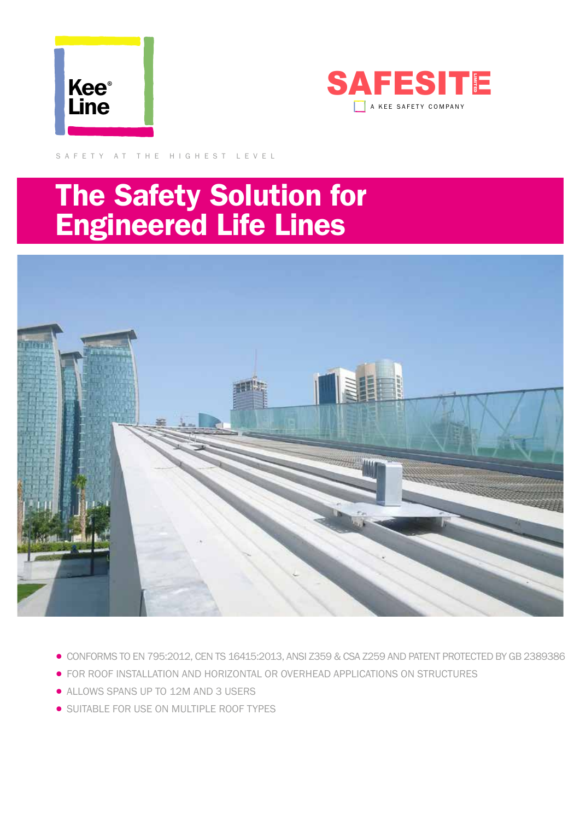



SAFETY AT THE HIGHEST LEVEL

# The Safety Solution for Engineered Life Lines



- CONFORMS TO EN 795:2012, CEN TS 16415:2013, ANSI Z359 & CSA Z259 AND PATENT PROTECTED BY GB 2389386
- FOR ROOF INSTALLATION AND HORIZONTAL OR OVERHEAD APPLICATIONS ON STRUCTURES
- ALLOWS SPANS UP TO 12M AND 3 USERS
- SUITABLE FOR USE ON MULTIPLE ROOF TYPES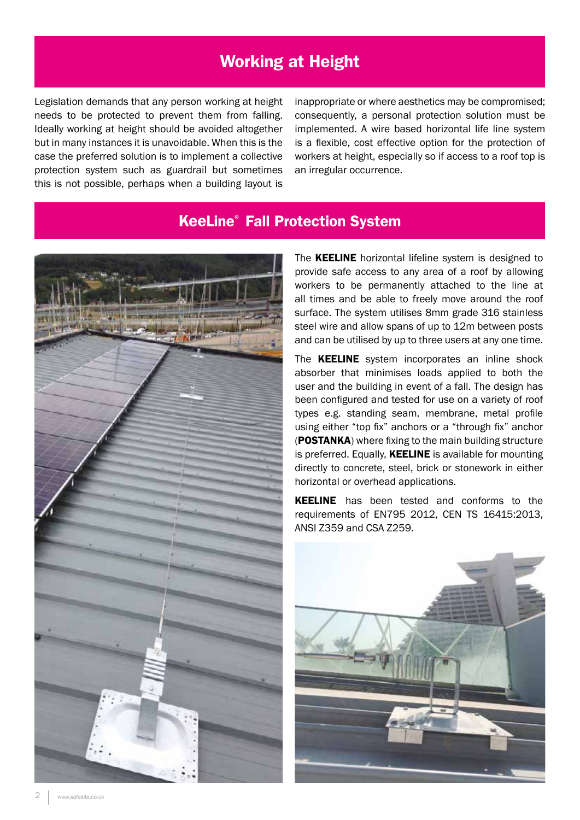# Working at Height

Legislation demands that any person working at height needs to be protected to prevent them from falling. Ideally working at height should be avoided altogether but in many instances it is unavoidable. When this is the case the preferred solution is to implement a collective protection system such as guardrail but sometimes this is not possible, perhaps when a building layout is

inappropriate or where aesthetics may be compromised; consequently, a personal protection solution must be implemented. A wire based horizontal life line system is a flexible, cost effective option for the protection of workers at height, especially so if access to a roof top is an irregular occurrence.

#### KeeLine® Fall Protection System



The KEELINE horizontal lifeline system is designed to provide safe access to any area of a roof by allowing workers to be permanently attached to the line at all times and be able to freely move around the roof surface. The system utilises 8mm grade 316 stainless steel wire and allow spans of up to 12m between posts and can be utilised by up to three users at any one time.

The **KEELINE** system incorporates an inline shock absorber that minimises loads applied to both the user and the building in event of a fall. The design has been configured and tested for use on a variety of roof types e.g. standing seam, membrane, metal profile using either "top fix" anchors or a "through fix" anchor (POSTANKA) where fixing to the main building structure is preferred. Equally, KEELINE is available for mounting directly to concrete, steel, brick or stonework in either horizontal or overhead applications.

**KEELINE** has been tested and conforms to the requirements of EN795 2012, CEN TS 16415:2013, ANSI Z359 and CSA Z259.

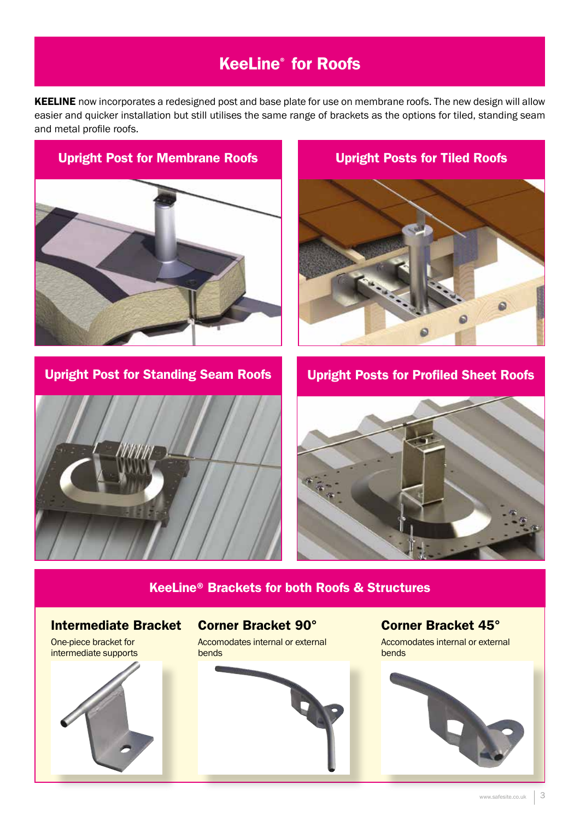# KeeLine® for Roofs

KEELINE now incorporates a redesigned post and base plate for use on membrane roofs. The new design will allow easier and quicker installation but still utilises the same range of brackets as the options for tiled, standing seam and metal profile roofs.



Upright Post for Standing Seam Roofs





Upright Posts for Tiled Roofs

Upright Posts for Profiled Sheet Roofs



#### KeeLine® Brackets for both Roofs & Structures

Intermediate Bracket

One-piece bracket for intermediate supports



#### Corner Bracket 90°

Accomodates internal or external bends



Corner Bracket 45°

Accomodates internal or external bends

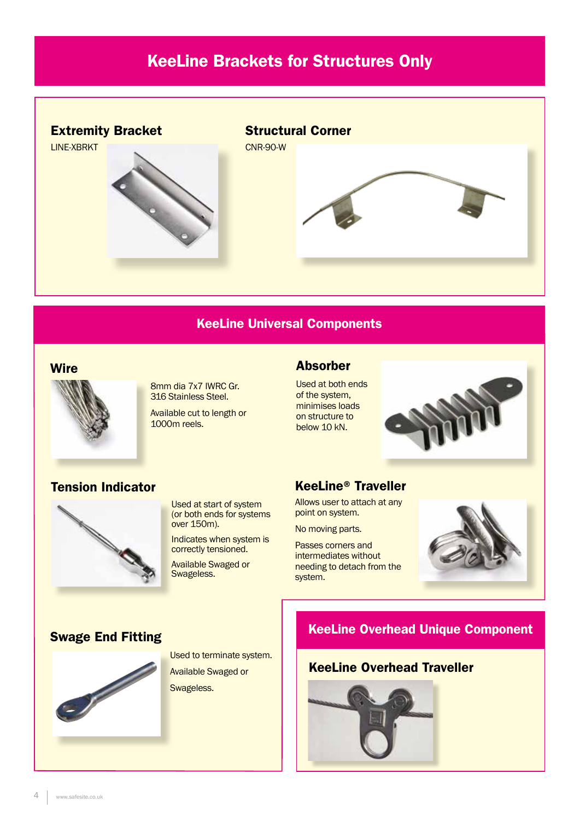# KeeLine Brackets for Structures Only



#### KeeLine Universal Components

#### **Wire**



8mm dia 7x7 IWRC Gr. 316 Stainless Steel.

Available cut to length or 1000m reels.

#### Absorber

Used at both ends of the system, minimises loads on structure to below 10 kN.



#### Tension Indicator



Used at start of system (or both ends for systems over 150m).

Indicates when system is correctly tensioned.

Available Swaged or Swageless.

#### KeeLine® Traveller

Allows user to attach at any point on system.

No moving parts.

Passes corners and intermediates without needing to detach from the system.



#### Swage End Fitting



Used to terminate system. Available Swaged or

Swageless.

#### KeeLine Overhead Unique Component

#### KeeLine Overhead Traveller

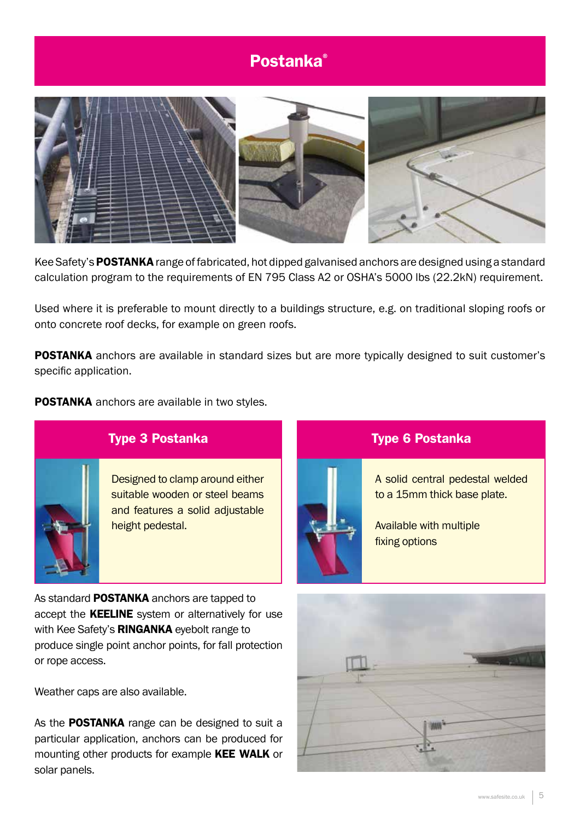# Postanka®



Kee Safety's POSTANKA range of fabricated, hot dipped galvanised anchors are designed using a standard calculation program to the requirements of EN 795 Class A2 or OSHA's 5000 lbs (22.2kN) requirement.

Used where it is preferable to mount directly to a buildings structure, e.g. on traditional sloping roofs or onto concrete roof decks, for example on green roofs.

**POSTANKA** anchors are available in standard sizes but are more typically designed to suit customer's specific application.

POSTANKA anchors are available in two styles.



## Type 3 Postanka

Designed to clamp around either suitable wooden or steel beams and features a solid adjustable height pedestal.

As standard **POSTANKA** anchors are tapped to accept the **KEELINE** system or alternatively for use with Kee Safety's RINGANKA eyebolt range to produce single point anchor points, for fall protection or rope access.

Weather caps are also available.

As the POSTANKA range can be designed to suit a particular application, anchors can be produced for mounting other products for example KEE WALK or solar panels.



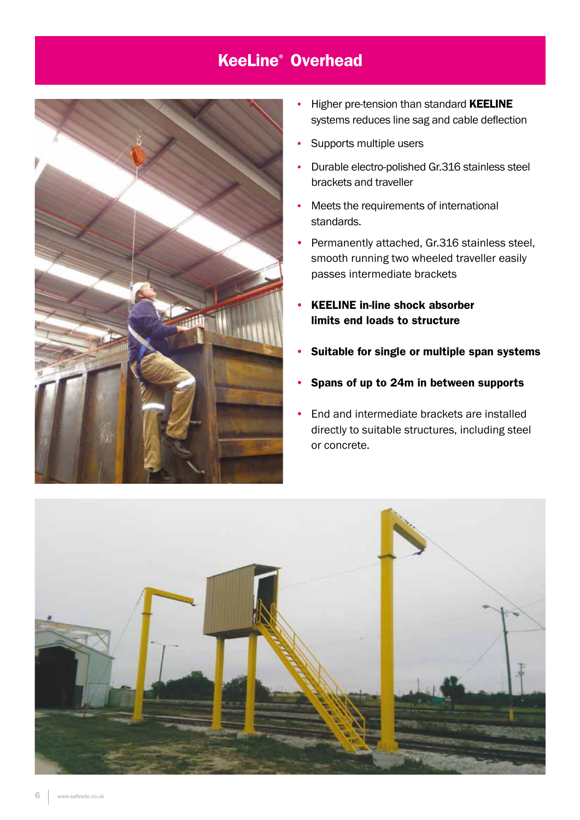# KeeLine® Overhead



- Higher pre-tension than standard KEELINE systems reduces line sag and cable deflection
- Supports multiple users
- Durable electro-polished Gr.316 stainless steel brackets and traveller
- Meets the requirements of international standards.
- Permanently attached, Gr.316 stainless steel, smooth running two wheeled traveller easily passes intermediate brackets
- KEELINE in-line shock absorber limits end loads to structure
- Suitable for single or multiple span systems
- Spans of up to 24m in between supports
- End and intermediate brackets are installed directly to suitable structures, including steel or concrete.

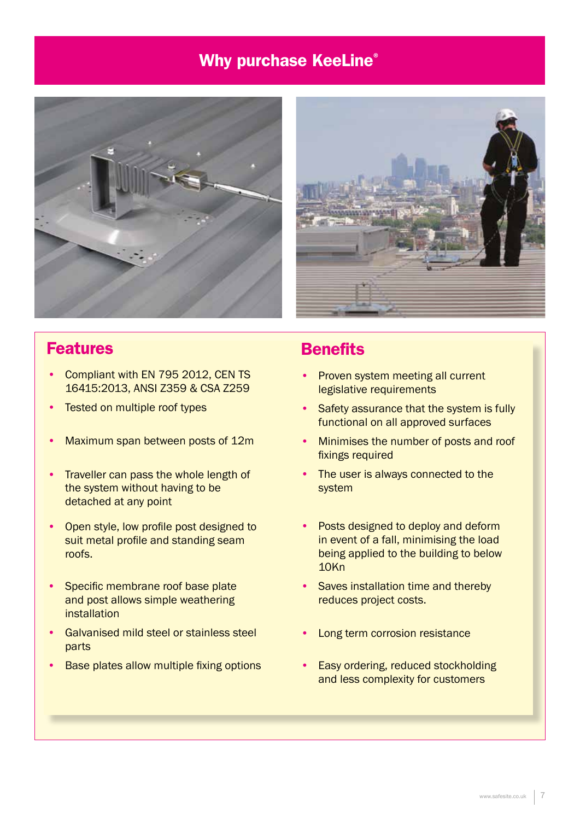# Why purchase KeeLine®





### **Features**

- Compliant with EN 795 2012, CEN TS 16415:2013, ANSI Z359 & CSA Z259
- Tested on multiple roof types
- Maximum span between posts of 12m
- Traveller can pass the whole length of the system without having to be detached at any point
- Open style, low profile post designed to suit metal profile and standing seam roofs.
- Specific membrane roof base plate and post allows simple weathering installation
- Galvanised mild steel or stainless steel parts
- Base plates allow multiple fixing options

# **Benefits**

- Proven system meeting all current legislative requirements
- Safety assurance that the system is fully functional on all approved surfaces
- Minimises the number of posts and roof fixings required
- The user is always connected to the system
- Posts designed to deploy and deform in event of a fall, minimising the load being applied to the building to below 10Kn
- Saves installation time and thereby reduces project costs.
- Long term corrosion resistance
- Easy ordering, reduced stockholding and less complexity for customers